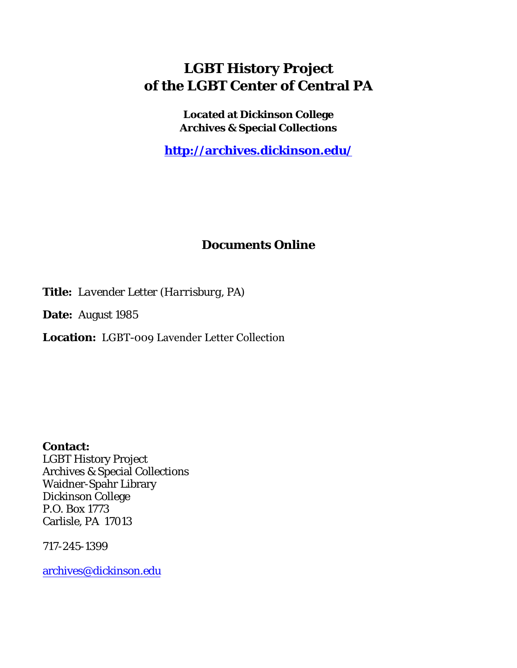## **LGBT History Project of the LGBT Center of Central PA**

**Located at Dickinson College Archives & Special Collections**

**<http://archives.dickinson.edu/>**

## **Documents Online**

**Title:** *Lavender Letter (Harrisburg, PA)*

**Date:** August 1985

**Location:** LGBT-009 Lavender Letter Collection

**Contact:**  LGBT History Project Archives & Special Collections Waidner-Spahr Library Dickinson College P.O. Box 1773 Carlisle, PA 17013

717-245-1399

[archives@dickinson.edu](mailto:archives@dickinson.edu)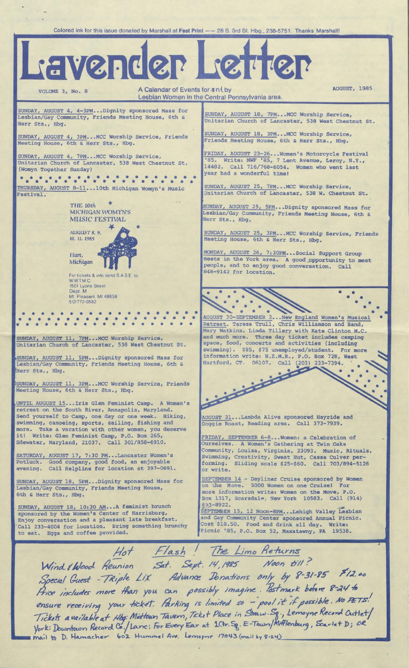Colored ink for this issue donated by Marshall at **Fast Print**  $--$  28 S. 3rd St. Hbg., 238-5751. Thanks Marshall! Lavender Letter AUGUST, 1985 VOLUME 3, No. 8 A Calendar of Events for  $\sqrt[3]{\frac{1}{2}}$ Lesbian Women in the Central Pennsylvania area. SUNDAY, AUGUST 4, 4-5PM...Dignity sponsored Mass for SUNDAY, AUGUST 18, 7PM...MCC Worship Service, Lesbian/Gay Community, Friends Meeting House, 6th & Unitarian Church of Lancaster, 538 West Chestnut St. Herr Sts., Hbg. SUNDAY, AUGUST 18, 3PM...MCC Worship Service, SUNDAY, AUGUST 4, 3PM...MCC Worship Service, Friends Meeting House, 6th *& Herr Sts.,* Hbg. Friends Meeting House, 6th & Herr Sts., Hbg. FRIDAY, AUGUST 23-26... Women's Motorcycle Festival SUNDAY, AUGUST 4, 7PM...MCC Worship Service, '85. Write: MWF '85, 7 Lent Avenue, Leroy, N.Y., 14482. Call 716/768-6054. Women who went last Unitarian Church of Lancaster, 538 West Chestnut St (Womyn Together Sunday) year had a wonderful time! THURSDAY, AUGUST 8-11...10th Michigan Womyn's Music SUNDAY, AUGUST 25, 7PM...MCC Worship Service, estival. Unitarian Church of Lancaster, 538 W. Chestnut St THE 10th SUNDAY, AUGUST 25, 5PM.•.Dignity sponsored Mass for MICHIGAN WOMTN'S Lesbian/Gay Community, Friends Meeting House, 6th & MUSIC FESTIVAL Herr Sts., Hbg. **AUGUST** *8,* **9,** SUNDAY, AUGUST 25, 3PM...MCC Worship Service, Friends **10, 11, 1985** Meeting House, 6th & Herr Sts., Hbg. MONDAY, AUGUST 26, 7:30PM...Social Support Group Hart, meets in the York area. A good opportunity to meet **Michigan** people, and to enjoy good conversation. Call 848-9142 for location. For tickets & into send S.A.S E. to: WWTM.C 1501 Lyons Street Dept M Mt. Pleasant. Ml 48858 512'772-0582  $\mathscr{C}(\mathbb{R}^n)$  .  $\mathscr{C}(\mathbb{R}^n)$  $\cdot$  .  $\cdot$ • • • • • • • • AUGUST 30-SEPTEMBER 2...New England Women's Musical Retreat. Teresa Trull, Chris Williamson and Band, Mary Watkins, Linda Tillery with Kate Clinton M.C. and much more i. Three day ticket includes camping SUNDAY, AUGUST 11, 7PM...MCC Worship Service, space, food, concerts and activities (including Unitarian Church of Lancaster, 538 West Chestnut St swimming) \$85, \$75 unemployed/student. For more information write: N.E.M.R ., P.O. Box 728, West SUNDAY, AUGUST 11, 5PM...Dignity sponsored Mass for **Hartford Company of Company** Hartford, CT. 06107. Call (203) 233-7394. Lesbian/Gay Community, Friends Meeting House, Herr Sts., Hbg. <sup>1</sup>SUNDAY, AUGUST 11, 3PM...MCC Worship Service, Friends Meeting House, 6th & Herr Sts., Hbg. UNTIL AUGUST 15...Iris Glen Feminist Camp. A Women's retreat on the South River, Annapolis, Maryland. Send yourself to Camp, one day or one week. Hiking, AUGUST 31...Lambda Alive sponsored Hayride and swimming, canoeing, sports, sailing, fishing and Doggie Roast, Reading area. Call 373-7939. more. Take a vacation with other women, you deserve it! Write: Glen Feminist Camp, P.O. Box 265, FRIDAY, SEPTEMBER 6-8...Women: a Celebration of Edewater, Maryland, 21037. Call 301/858-6910. Ourselves.. A Women's Gathering at Twin Oaks Community, Louisa, Virginia , 23093. Music, Rituals, SATURDAY, AUGUST 17, 7:30 PM T 17, 7:30 PM...Lancaster Women's Swimming, Creativity, Sweat Hut, Casse Culver per-Potluck. Good company, good food, an enjoyable forming, Sliding scale \$25-\$60. Call 703/894-5126 Helpline for location at 397-0691 evening. Call or write. SUNDAY, AUGUST 18, 5PM...Dignity sponsored Mass for SEPTEMBER 14 - Dayliner Cruise sponsored by Women on the Move. 5000 Women on one Cruise! For Lesbian/Gay Community, Friends Meeting House, more information write: Women on the Move, P.O. 6th & Herr Sts., Hbg. Box 1317, Scarsdale, New York 10583. Call (914) SUNDAY, AUGUST 18, 10:30 AM...A feminist brunch 623-8922. tjesho a shine shine shine shine shine shine shine shine shine shine shine shine shine shine shine s sponsored by the Women's Center of Harrisburg, SEPTEMBER 15, 12 Noon-8PM...Lehigh Valley Lesbian Enjoy conversation and a pleasant late breakfast. and Gay Community Center sponsored Annual Picnic. Call 233-4004 for location. Bring something brunchy Cost \$18.50. Food and drink all day. Write: Picnic '85, P.O. Box 52, Maxatawny, PA 19538. to eat. Eggs and coffee provided. */-7a.sh ' Limo fle-fujrns yy*

•

j

Wind ellend Reunion Sat. Sept. 14, 1985 Soecial Quest - Triple Lix Advance Donations only by 8-31-85 \$12.0 *Special Guest - TRiple Lix Advance Jonations only by 8-31-83* ensure receiving your ficket. Parking is limited so - pool it if possible. No PETS. *Tickets available at Hbg: Midtown Tavern, Ticket Place in Straw. Sq., Lemoyne Record Outlet/*  $y'$ ork: Downtown Record Co./Lanc: For Every Ear at 1Ctr. Sg. E-Town/Mifflenburg, Scarlet D; OR mail to D. Hamacher 602 Hummel Ave. Lemoyne 17043 (mail by 8-24) *Mostmark* before 8-24 to<br>*seal* it if assible No PETS!